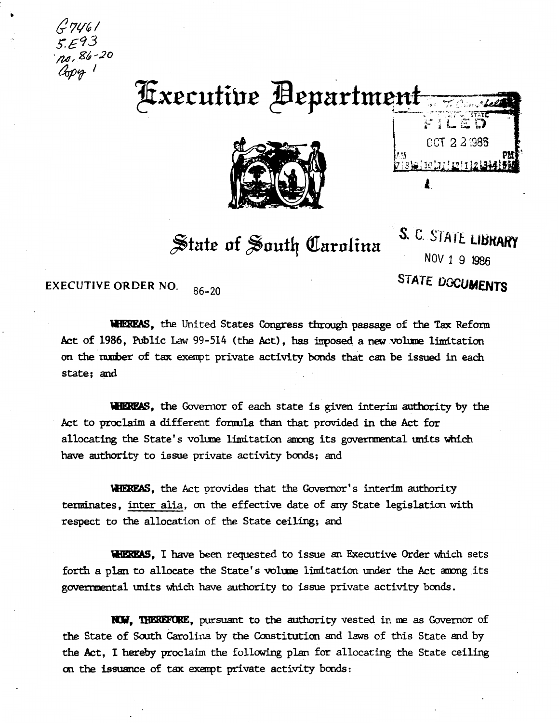7461 no, 86-20 Copy 1

 $\langle \rangle$ 

# **Fxecutive Bepartment**



FILED CCT 2 2 1986 A.

 $\frac{1}{2}$  tate of South Carolina

S. C. STATE LIBRARY NOV 1 9 1986 STATE **DOCUMENTS** 

EXECUTIVE ORDER NO. 86-20

WHEREAS, the United States Congress through passage of the Tax Reform Act of 1986, Public Law 99-514 (the Act), has imposed a new volume limitation on the number of tax exempt private activity bonds that can be issued in each state; and

WHEREAS, the Governor of each state is given interim authority by the Act to proclaim a different fonwla than that provided in the Act for allocating the State's volume limitation among its governmental units which have authority to issue private activity bonds; and

WHEREAS, the Act provides that the Governor's interim authority terminates, inter alia, on the effective date of any State legislation with respect to the allocation of the State ceiling; and

**WHEREAS, I** have been requested to issue an Executive Order which sets forth a plan to allocate the State's volume limitation under the Act among its governmental units which have authority to issue private activity bonds.

**NOW. THEREFORE**, pursuant to the authority vested in me as Governor of the State of South Carolina by the Constitution and laws of this State and by the Act, I hereby proclaim the following plan for allocating the State ceiling on the issuance of tax exempt private activity bonds: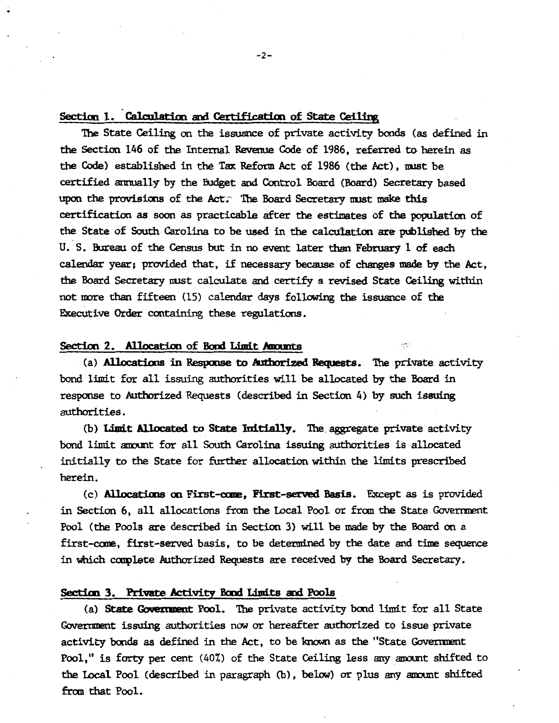#### Section 1. Calculation and Certification of State Ceiling

..

The State Ceiling on the issuance of private activity bonds (as defined in the Section 146 of the Internal Revenue Code of 1986, referred to herein as the Code) established in the Tax Reform Act of 1986 (the Act), must be certified annually by the Budget and Control Board (Board) Secretary based upon the provisions of the Act; The Board Secretary must make this certification as soon as practicable after the estimates of the population of the State of South Carolina to be used in the calculation are published by the U. S. Bureau of the Census but in no event later than February 1 of each calendar year; provided that, if necessary because of changes made by the Act, the Board Secretary must calculate and certify a revised State Ceiling within not more than fifteen (15) calendar days following the issuance of the Executive Order containing these regulations.

#### Section 2. Allocation of Bond Limit Amounts

(a) Allocations in Response to Authorized Requests. The private activity bond limit for all issuing authorities will be allocated by the Board in response to Authorized Requests (described in Section 4) by such issuing authorities.

(b) Limit Allocated to State Initially. The aggregate private activity bond limit amount for all South Carolina issuing authorities is allocated initially to the State for further allocation within the limits prescribed herein.

(c) **Allocations on First-come, First-served Basis.** Except as is provided in Section 6, all allocations from the Local Pool or from the State Government Pool (the Pools are described in Section 3) will be made by the Board on a first-cane, first-served basis, to be detemined by the date and time sequence in which carplete Authorized Requests are received by the Board Secretary.

#### Section 3. Private Activity Bond Limits and Pools

(a) State Goveztment Pool. The private activity bond limit for all State Goverment issuing authorities now or hereafter authorized to issue private activity bonds as defined in the Act, to be known as the "State Government Pool," is forty per cent (40%) of the State Ceiling less any amount shifted to the Local Pool (described in paragraph (b), below) or plus any amount shifted fran that Pool.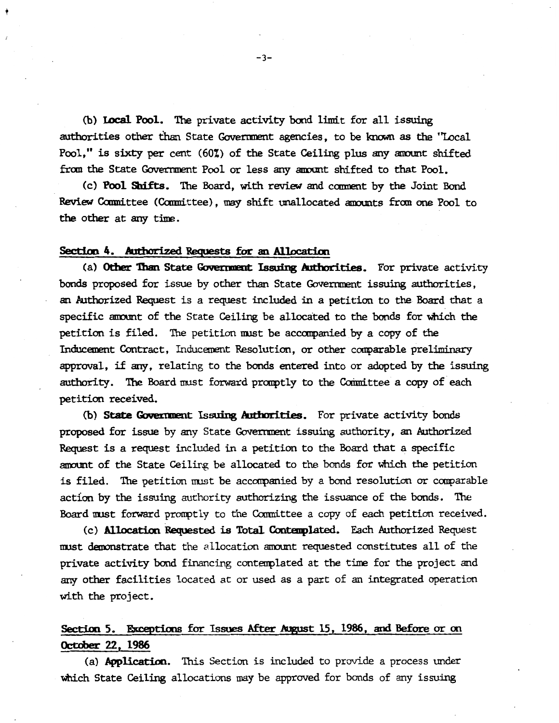(b) Local Pool. The private activity bond limit for all issuing authorities other than State Government agencies, to be known as the "Local Pool." is sixty per cent (60%) of the State Ceiling plus any amount shifted from the State Government Pool or less any amount shifted to that Pool.

(c) Pool Sbifts. The Board, with review and cooment by the Joint Bond Review Committee (Committee), may shift unallocated amounts from one Pool to the other at any time.

#### Section 4. Authorized Requests for an Allocation

(a) Other Than State Government Issuing Authorities. For private activity bonds proposed for issue by other than State Government issuing authorities, an Authorized Request is a request included in a petition to the Board that a specific amount of the State Ceiling be allocated to the bonds for which the petition is filed. The petition must be accompanied by a copy of the Inducement Contract, Inducement Resolution, or other comparable preliminary approval, if any, relating to the bonds entered into or adopted by the issuing authority. The Board must forward promptly to the Committee a copy of each petition received.

(b) State Government Issuing Authorities. For private activity bonds proposed for issue by any State Government issuing authority, an Authorized Request is a request included in a petition to the Board that a specific amount of the State Ceiling be allocated to the bonds for which the petition is filed. The petition must be accompanied by a bond resolution or comparable action by the issuing authority authorizing the issuance of the bonds. The Board must forward promptly to the Committee a copy of each petition received.

(c) **Allocation Requested is Total Contemplated.** Each Authorized Request must demonstrate that the allocation amount requested constitutes all of the private activity bond financing contemplated at the time for the project and any other facilities located at or used as a part of an integrated operation with the project.

## Section 5. Exceptions for Issues After August 15, 1986, and Before or on October 22, 1986

(a) **Application.** This Section is included to provide a process under which State Ceiling allocations may be approved for bonds of any issuing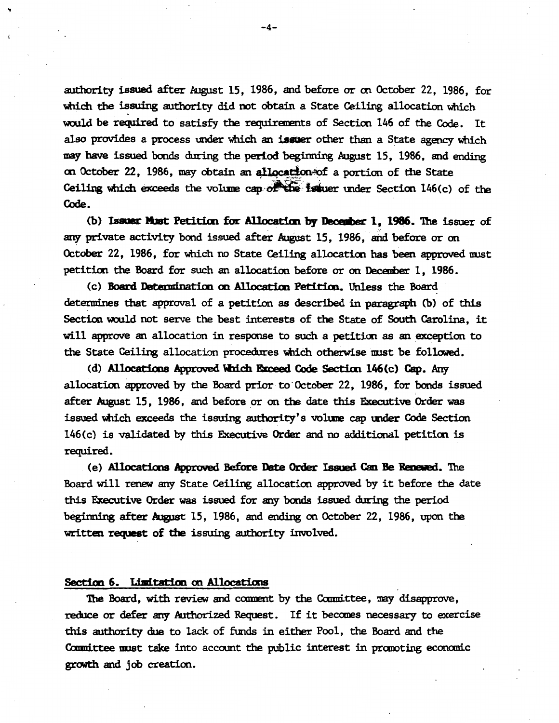authority issued after August 15, 1986, and before or on October 22, 1986, for which the issuing authority did not obtain a State Ceiling allocation which would be required to satisfy the requirements of Section 146 of the Code. It also provides a process under which an issuer other than a State agency which may have issued bonds during the period beginning August 15, 1986, and ending on October 22, 1986, may obtain an allocation of a portion of the State Ceiling which exceeds the volume cap: $\sigma$  the issuer under Section 146(c) of the Code.

(b) Issuer **Must** Petition for Allocation by December 1, 1986. The issuer of any private activity bond issued after August 15, 1986, and before or on October 22, 1986, for which no State Ceiling allocation has been approved must petiticn the Board for such an allocation before or on Deceuber 1, 1986.

(c) Board Determination on Allocation Petition. Unless the Board determines that approval of a petition as described in paragraph (b) of this Section would not serve the best interests of the State of South Carolina, it will approve an allocation in response to such a petition as an exception to the State Ceiling allocation procedures which otherwise must be followed.

(d) Allocations Approved Which Exceed Code Section 146(c) Cap. Any allocation approved by the Board prior to· October 22, 1986, for bonds issued after August 15, 1986, and before or on the date this Executive Order was issued which exceeds the issuing authority's voluue cap under Code Section 146(c) is validated by this Executive Order and no additional petition is required.

(e) Allocations Approved Before Date Order Issued Can Be Renewed. The Board will renew any State Ceiling allocation approved by it before the date this Executive Order was issued for any bonds issued during the period beginning after August 15, 1986, and ending on October 22, 1986, upon the written request of tbe issuing authority involved.

#### Section 6. Limitation on Allocations

The Board, with review and comment by the Committee, may disapprove, reduce or defer any Authorized Request. If it becanes necessary to exercise this authority due to lack of funds in either Pool, the Board and the Committee must take into account the public interest in promoting economic growth and job creation.

.,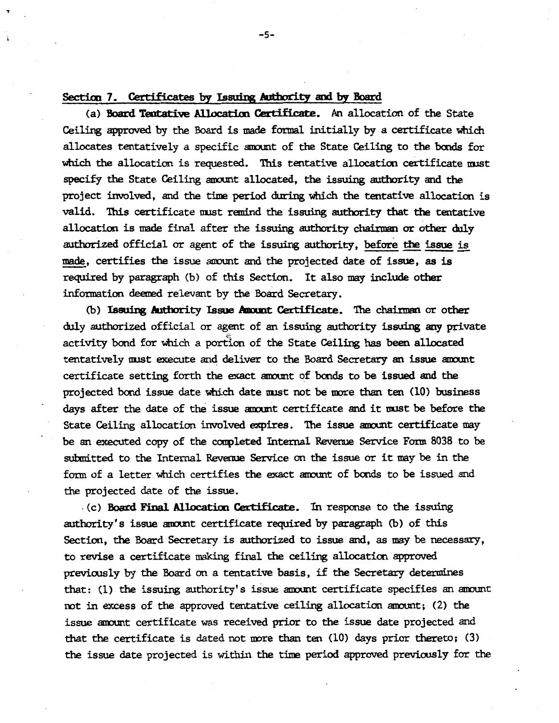#### Section 7. Certificates by Issuing Authority and by Board

.,

(a) Board Tentative Allocation Certificate. An allocation of the State Ceiling approved by the Board is made formal initially by a certificate which allocates tentatively a specific amunt of the State Ceiling to the bonds for which the allocation is requested. This tentative allocation certificate must specify the State Ceiling amount allocated, the issuing authority and the project involved, and the time period during which the tentative allocation is valid. This certificate must remind the issuing authority that the tentative allocation is made final after the issuing authority chainnan or other duly authorized official or agent of the issuing authority, before the issue is made, certifies the issue mmunt and the projected date of issue, as is required by paragraph (b) of this Section. It also may include other information deemed relevant by the Board Secretary.

(b) Issuing Authority Issue Amount Certificate. The chairman or other duly authorized official or agent of an issuing authority issuing any private activity bond for which a portion of the State Ceiling has been allocated tentatively must execute and deliver to the Board Secretary an issue amount certificate setting forth the exact amount of bonds to be issued and the projected bond issue date which date must not be more than ten (10) business days after the date of the issue amount certificate and it must be before the State Ceiling allocation involved expires. The issue amunt certificate may be an executed copy of the completed Internal Revenue Service Form 8038 to be submitted to the Internal Revenue Service on the issue or it may be in the fonn of a letter which certifies the exact mmunt of bonds to be issued and the projected date of the issue .

. (c) Board Final Allocation Certificate. In response to the issuing authority's issue amunt certificate required by paragraph (b) of this Section, the Board Secretary is authorized to issue and, as may be necessary, to revise a certificate making final the ceiling allocation approved previously by the Board on a tentative basis, if the Secretary determines that: (1) the issuing authority's issue amount certificate specifies an amount not in excess of the approved tentative ceiling allocation mmunt; (2) the issue mmunt certificate was received prior to the issue date projected and that the certificate is dated not more than ten  $(10)$  days prior thereto;  $(3)$ the issue date projected is within the time period approved previously for the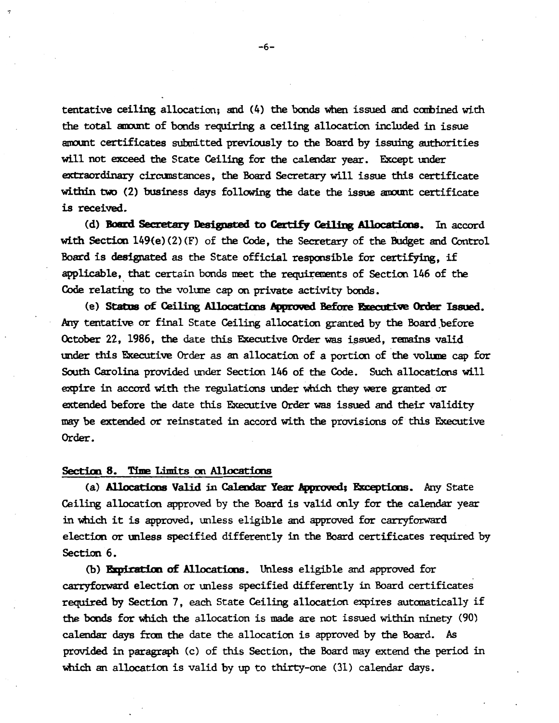tentative ceiling allocation; and (4) the bonds when issued and combined with the total amount of bonds requiring a ceiling allocation included in issue amount certificates submitted previously to the Board by issuing authorities will not exceed the State Ceiling for the calendar year. Except under extraordinary circumstances, the Board Secretary will issue this certificate within two  $(2)$  business days following the date the issue amount certificate is received.

(d) Board Secretary Designated to Certify Ceiling Allocations. In accord with Section 149(e) (2) (F) of the Code, the Secretary of the Budget and Control Board is designated as the State official responsible for certifying, if applicable, that certain bonds meet the requirements of Section 146 of the Code relating to the volume cap on private activity bonds.

(e) Status of Ceiling Allocations Approved Before Executive Order Issued. Any tentative or final State Ceiling allocation granted by the Board before October 22, 1986, the date this Executive Order was issued, remains valid under this Executive Order as an allocation of a portion of the volume cap for South Carolina provided under Section 146 of the Code. Such allocations will expire in accord with the regulations under which they were granted or extended before the date this Executive Order was issued and their validity may be extended or reinstated in accord with the provisions of· this Executive Order.

#### Section 8. Time Limits on Allocations

(a) Allocations Valid in Calendar Year Approved; Exceptions. Any State Ceiling allocation approved by the Board is valid only for the calendar year in which it is approved, unless eligible and approved for carryforward election or unless specified differently in the Board certificates required by Section 6.

(b) Expiration of Allocations. Unless eligible and approved for carryforward election or unless specified differently in Board certificates required by Section 7, each State Ceiling allocation expires automatically if the bonds for which the allocation is made are not issued within ninety (90) calendar days from the date the allocation is approved by the Board. *As*  provided in paragraph (c) of this Section, the Board may extend the period in which an allocation is valid by up to thirty-one (31) calendar days.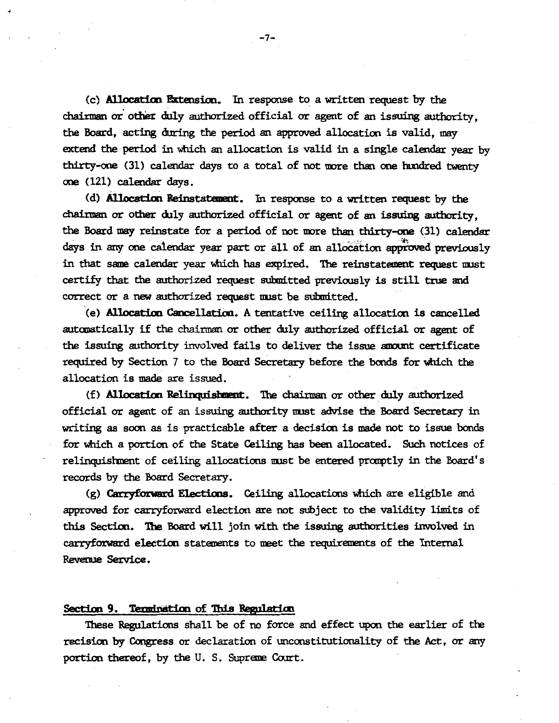(c) **Allocation Extension.** In response to a written request by the chairman or other duly authorized official or agent of an issuing authority. the Board, acting during the period an approved allocation is valid, may extend the period in which an allocation is valid in a single calendar year by thirty-one (31) calendar days to a total of not more than one hundred twenty one (121) calendar days.

(d) Allocation Reinstatement. In response to a written request by the chairman or other duly authorized official or agent of an issuing authority, the Board may reinstate for a period of not more than thirty-one (31) calendar days in any one calendar year part or all of an allocation approved previously in that same calendar year which has expired. The reinstatement request nust certify that the authorized request submitted previously is still true and correct or a new authorized request nust be submitted.

(e) Allocation Cancellation. A tentative ceiling allocation is cancelled automatically if the chairman or other duly authorized official or agent of the issuing authority involved fails to deliver the issue amount certificate required by Section 7 to the Board Secretary before the bonds for which the allocation is made are issued.

(f) Allocation Relinquishment. The chairman or other duly authorized official or agent of an issuing authority nust advise the Board Secretary in writing as soon as is practicable after a decision is made not to issue bonds for which a portion of the State Ceiling has been allocated. Such notices of relinquisbnent of ceiling allocations nust be entered pranptly in the Board's records by the Board Secretary.

 $(g)$  Carryforward Elections. Ceiling allocations which are eligible and approved for carryforward election are not subject to the validity limits of this Section. The Board will join with the issuing authorities involved in carryforward election statements to meet the requirements of the Internal Revenue Service.

#### Section 9. Termination of This Regulation

These Regulations shall be of no force and effect upon the earlier of the recision by Congress or declaration of unconstitutionality of the Act, or any portion thereof, by the U. S. Supreme Court.